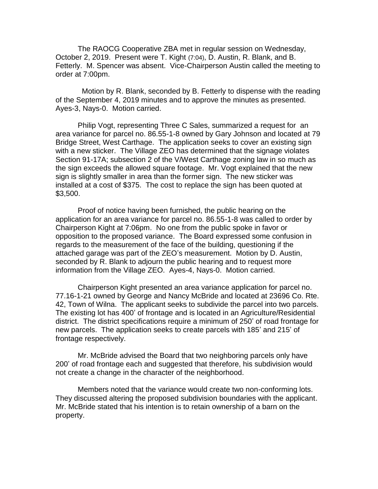The RAOCG Cooperative ZBA met in regular session on Wednesday, October 2, 2019. Present were T. Kight (7:04), D. Austin, R. Blank, and B. Fetterly. M. Spencer was absent. Vice-Chairperson Austin called the meeting to order at 7:00pm.

 Motion by R. Blank, seconded by B. Fetterly to dispense with the reading of the September 4, 2019 minutes and to approve the minutes as presented. Ayes-3, Nays-0. Motion carried.

Philip Vogt, representing Three C Sales, summarized a request for an area variance for parcel no. 86.55-1-8 owned by Gary Johnson and located at 79 Bridge Street, West Carthage. The application seeks to cover an existing sign with a new sticker. The Village ZEO has determined that the signage violates Section 91-17A; subsection 2 of the V/West Carthage zoning law in so much as the sign exceeds the allowed square footage. Mr. Vogt explained that the new sign is slightly smaller in area than the former sign. The new sticker was installed at a cost of \$375. The cost to replace the sign has been quoted at \$3,500.

Proof of notice having been furnished, the public hearing on the application for an area variance for parcel no. 86.55-1-8 was called to order by Chairperson Kight at 7:06pm. No one from the public spoke in favor or opposition to the proposed variance. The Board expressed some confusion in regards to the measurement of the face of the building, questioning if the attached garage was part of the ZEO's measurement. Motion by D. Austin, seconded by R. Blank to adjourn the public hearing and to request more information from the Village ZEO. Ayes-4, Nays-0. Motion carried.

Chairperson Kight presented an area variance application for parcel no. 77.16-1-21 owned by George and Nancy McBride and located at 23696 Co. Rte. 42, Town of Wilna. The applicant seeks to subdivide the parcel into two parcels. The existing lot has 400' of frontage and is located in an Agriculture/Residential district. The district specifications require a minimum of 250' of road frontage for new parcels. The application seeks to create parcels with 185' and 215' of frontage respectively.

Mr. McBride advised the Board that two neighboring parcels only have 200' of road frontage each and suggested that therefore, his subdivision would not create a change in the character of the neighborhood.

Members noted that the variance would create two non-conforming lots. They discussed altering the proposed subdivision boundaries with the applicant. Mr. McBride stated that his intention is to retain ownership of a barn on the property.